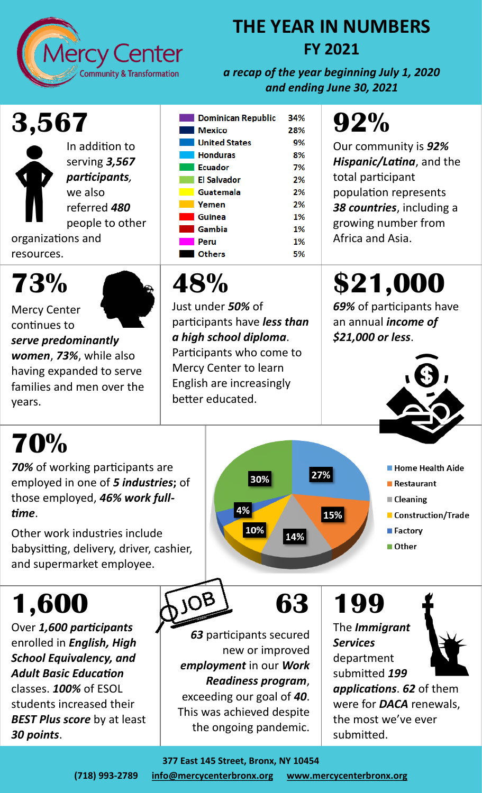

#### **THE YEAR IN NUMBERS FY 2021**

*a recap of the year beginning July 1, 2020 and ending June 30, 2021*

## **3,567**



In addition to serving *3,567 participants,*  we also referred *480* people to other

organizations and resources.

#### **73%**

Mercy Center



continues to *serve predominantly women*, *73%*, while also having expanded to serve families and men over the years.

#### **Dominican Republic** 34% **Mexico** 28% **United States** 9% **Honduras** 8% **Ecuador**  $7%$ **El Salvador** 2% Guatemala 2% Yemen 2% Guinea 1% Gambia 1% Peru 1% **Others** 5%

#### **48%**

Just under *50%* of participants have *less than a high school diploma*. Participants who come to Mercy Center to learn English are increasingly better educated.

30%

10%

4%

## **92%**

Our community is *92% Hispanic/Latina*, and the total participant population represents *38 countries*, including a growing number from Africa and Asia.

# **\$21,000**

*69%* of participants have an annual *income of \$21,000 or less*.



**Home Health Aide** 

Construction/Trade

Restaurant

**■ Cleaning** 

**■ Factory** 

Other

# **70%**

*70%* of working participants are employed in one of *5 industries***;** of those employed, *46% work fulltime*.

Other work industries include babysitting, delivery, driver, cashier, and supermarket employee.

# **1,600**

Over *1,600 participants*  enrolled in *English, High School Equivalency, and Adult Basic Education*  classes. *100%* of ESOL students increased their *BEST Plus score* by at least *30 points*.



*63* participants secured new or improved *employment* in our *Work Readiness program*, exceeding our goal of *40*.

**63**

14%

27%

15%

This was achieved despite the ongoing pandemic.

## **199**

The *Immigrant Services*  department submitted *199 applications*. *62* of them were for *DACA* renewals, the most we've ever submitted.



**377 East 145 Street, Bronx, NY 10454**